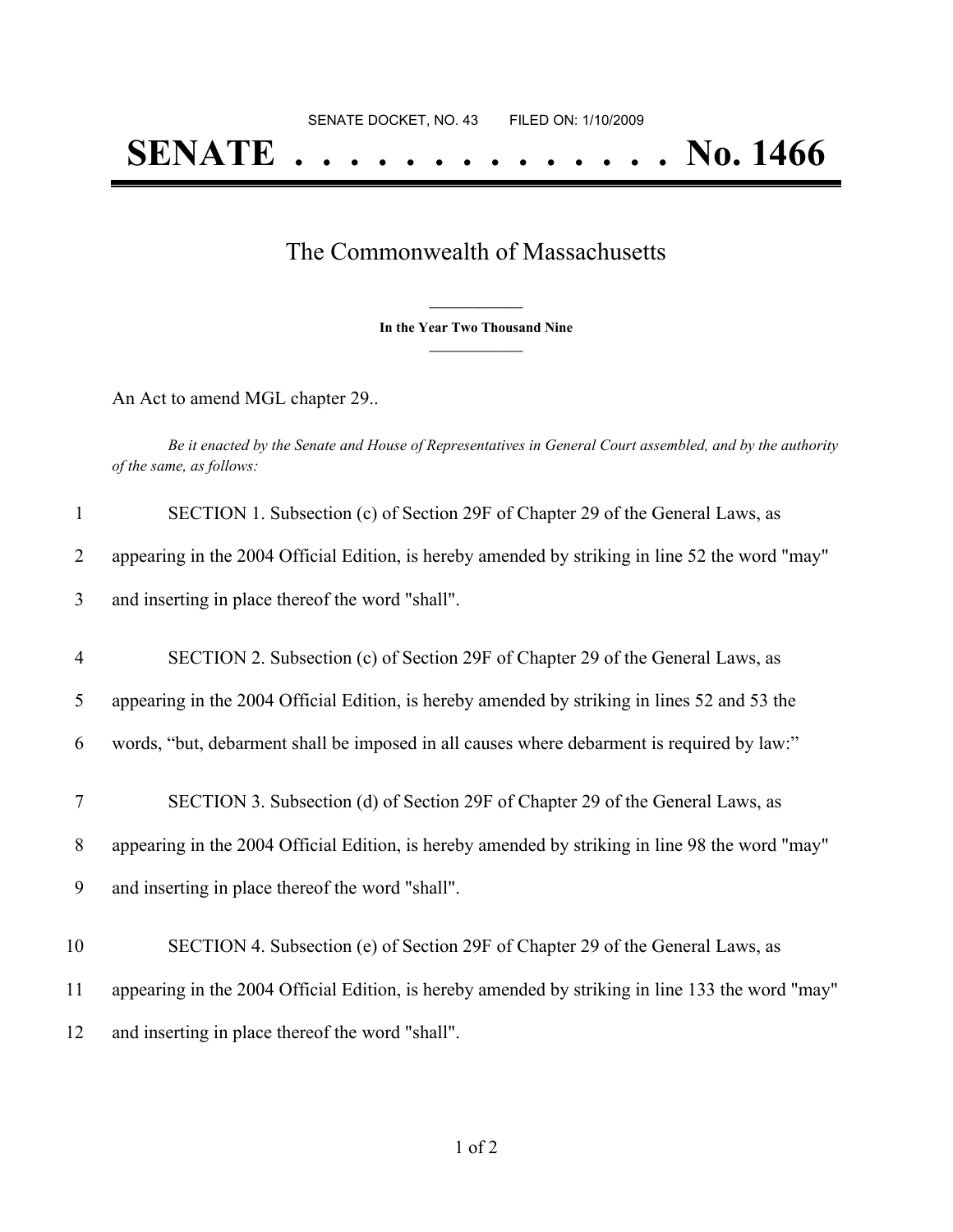## The Commonwealth of Massachusetts

**\_\_\_\_\_\_\_\_\_\_\_\_\_\_\_ In the Year Two Thousand Nine \_\_\_\_\_\_\_\_\_\_\_\_\_\_\_**

An Act to amend MGL chapter 29..

Be it enacted by the Senate and House of Representatives in General Court assembled, and by the authority *of the same, as follows:*

| $\mathbf{1}$   | SECTION 1. Subsection (c) of Section 29F of Chapter 29 of the General Laws, as                   |
|----------------|--------------------------------------------------------------------------------------------------|
| 2              | appearing in the 2004 Official Edition, is hereby amended by striking in line 52 the word "may"  |
| 3              | and inserting in place thereof the word "shall".                                                 |
| $\overline{4}$ | SECTION 2. Subsection (c) of Section 29F of Chapter 29 of the General Laws, as                   |
| 5              | appearing in the 2004 Official Edition, is hereby amended by striking in lines 52 and 53 the     |
| 6              | words, "but, debarment shall be imposed in all causes where debarment is required by law:"       |
| $\overline{7}$ | SECTION 3. Subsection (d) of Section 29F of Chapter 29 of the General Laws, as                   |
| 8              | appearing in the 2004 Official Edition, is hereby amended by striking in line 98 the word "may"  |
| 9              | and inserting in place thereof the word "shall".                                                 |
| 10             | SECTION 4. Subsection (e) of Section 29F of Chapter 29 of the General Laws, as                   |
| 11             | appearing in the 2004 Official Edition, is hereby amended by striking in line 133 the word "may" |
| 12             | and inserting in place thereof the word "shall".                                                 |